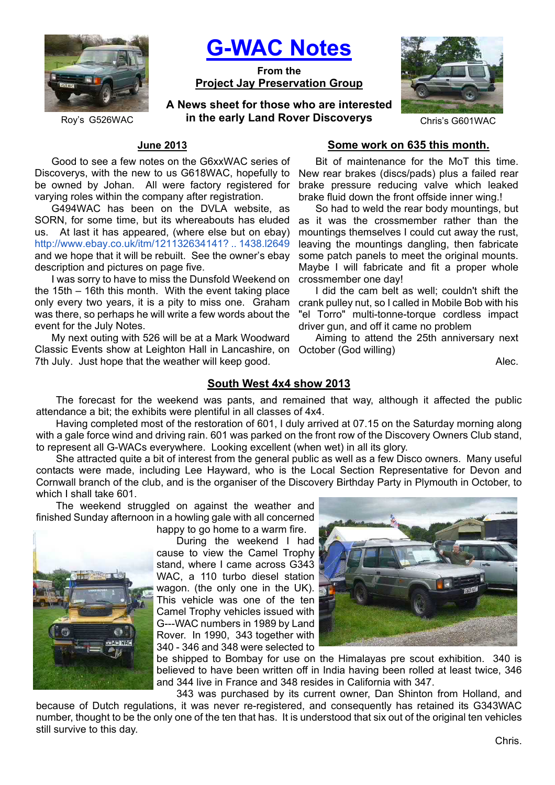

**G-WAC Notes**

**From the Project Jay Preservation Group**

**A News sheet for those who are interested**  Roy's G526WAC **in the early Land Rover Discoverys** Chris's G601WAC



# **June 2013**

Good to see a few notes on the G6xxWAC series of Discoverys, with the new to us G618WAC, hopefully to be owned by Johan. All were factory registered for varying roles within the company after registration.

G494WAC has been on the DVLA website, as SORN, for some time, but its whereabouts has eluded us. At last it has appeared, (where else but on ebay) http://www.ebay.co.uk/itm/121132634141? .. 1438.l2649 and we hope that it will be rebuilt. See the owner's ebay description and pictures on page five.

I was sorry to have to miss the Dunsfold Weekend on the 15th – 16th this month. With the event taking place only every two years, it is a pity to miss one. Graham was there, so perhaps he will write a few words about the event for the July Notes.

Classic Events show at Leighton Hall in Lancashire, on October (God willing) My next outing with 526 will be at a Mark Woodward 7th July. Just hope that the weather will keep good.

### **Some work on 635 this month.**

Bit of maintenance for the MoT this time. New rear brakes (discs/pads) plus a failed rear brake pressure reducing valve which leaked brake fluid down the front offside inner wing.!

So had to weld the rear body mountings, but as it was the crossmember rather than the mountings themselves I could cut away the rust, leaving the mountings dangling, then fabricate some patch panels to meet the original mounts. Maybe I will fabricate and fit a proper whole crossmember one day!

I did the cam belt as well; couldn't shift the crank pulley nut, so I called in Mobile Bob with his "el Torro" multi-tonne-torque cordless impact driver gun, and off it came no problem

Aiming to attend the 25th anniversary next

Alec.

### **South West 4x4 show 2013**

The forecast for the weekend was pants, and remained that way, although it affected the public attendance a bit; the exhibits were plentiful in all classes of 4x4.

Having completed most of the restoration of 601, I duly arrived at 07.15 on the Saturday morning along with a gale force wind and driving rain. 601 was parked on the front row of the Discovery Owners Club stand, to represent all G-WACs everywhere. Looking excellent (when wet) in all its glory.

She attracted quite a bit of interest from the general public as well as a few Disco owners. Many useful contacts were made, including Lee Hayward, who is the Local Section Representative for Devon and Cornwall branch of the club, and is the organiser of the Discovery Birthday Party in Plymouth in October, to which I shall take 601.

The weekend struggled on against the weather and finished Sunday afternoon in a howling gale with all concerned



happy to go home to a warm fire. During the weekend I had cause to view the Camel Trophy stand, where I came across G343 WAC, a 110 turbo diesel station wagon. (the only one in the UK). This vehicle was one of the ten Camel Trophy vehicles issued with G---WAC numbers in 1989 by Land Rover. In 1990, 343 together with 340 - 346 and 348 were selected to



be shipped to Bombay for use on the Himalayas pre scout exhibition. 340 is believed to have been written off in India having been rolled at least twice, 346 and 344 live in France and 348 resides in California with 347.

343 was purchased by its current owner, Dan Shinton from Holland, and because of Dutch regulations, it was never re-registered, and consequently has retained its G343WAC number, thought to be the only one of the ten that has. It is understood that six out of the original ten vehicles still survive to this day.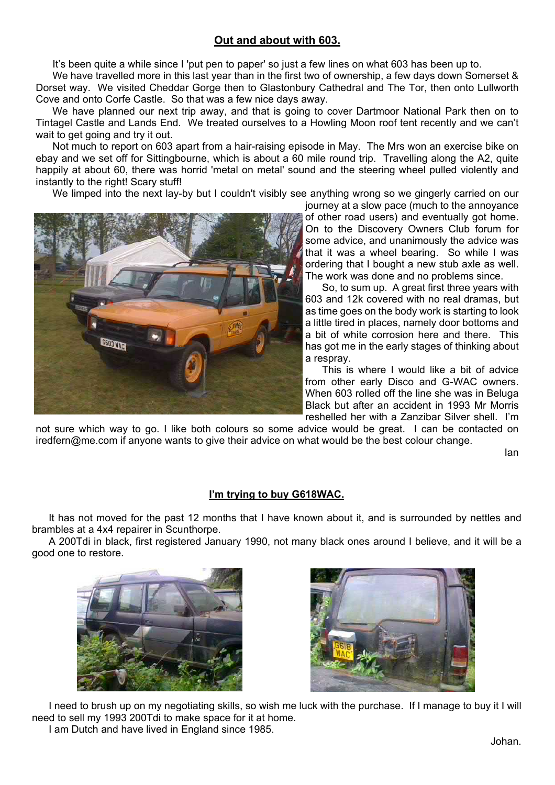# **Out and about with 603.**

It's been quite a while since I 'put pen to paper' so just a few lines on what 603 has been up to.

We have travelled more in this last year than in the first two of ownership, a few days down Somerset & Dorset way. We visited Cheddar Gorge then to Glastonbury Cathedral and The Tor, then onto Lullworth Cove and onto Corfe Castle. So that was a few nice days away.

We have planned our next trip away, and that is going to cover Dartmoor National Park then on to Tintagel Castle and Lands End. We treated ourselves to a Howling Moon roof tent recently and we can't wait to get going and try it out.

Not much to report on 603 apart from a hair-raising episode in May. The Mrs won an exercise bike on ebay and we set off for Sittingbourne, which is about a 60 mile round trip. Travelling along the A2, quite happily at about 60, there was horrid 'metal on metal' sound and the steering wheel pulled violently and instantly to the right! Scary stuff!

We limped into the next lay-by but I couldn't visibly see anything wrong so we gingerly carried on our



journey at a slow pace (much to the annoyance of other road users) and eventually got home. On to the Discovery Owners Club forum for some advice, and unanimously the advice was that it was a wheel bearing. So while I was ordering that I bought a new stub axle as well. The work was done and no problems since.

So, to sum up. A great first three years with 603 and 12k covered with no real dramas, but as time goes on the body work is starting to look a little tired in places, namely door bottoms and a bit of white corrosion here and there. This has got me in the early stages of thinking about a respray.

This is where I would like a bit of advice from other early Disco and G-WAC owners. When 603 rolled off the line she was in Beluga Black but after an accident in 1993 Mr Morris reshelled her with a Zanzibar Silver shell. I'm

not sure which way to go. I like both colours so some advice would be great. I can be contacted on iredfern@me.com if anyone wants to give their advice on what would be the best colour change.

Ian

## **I'm trying to buy G618WAC.**

It has not moved for the past 12 months that I have known about it, and is surrounded by nettles and brambles at a 4x4 repairer in Scunthorpe.

A 200Tdi in black, first registered January 1990, not many black ones around I believe, and it will be a good one to restore.





I need to brush up on my negotiating skills, so wish me luck with the purchase. If I manage to buy it I will need to sell my 1993 200Tdi to make space for it at home. I am Dutch and have lived in England since 1985.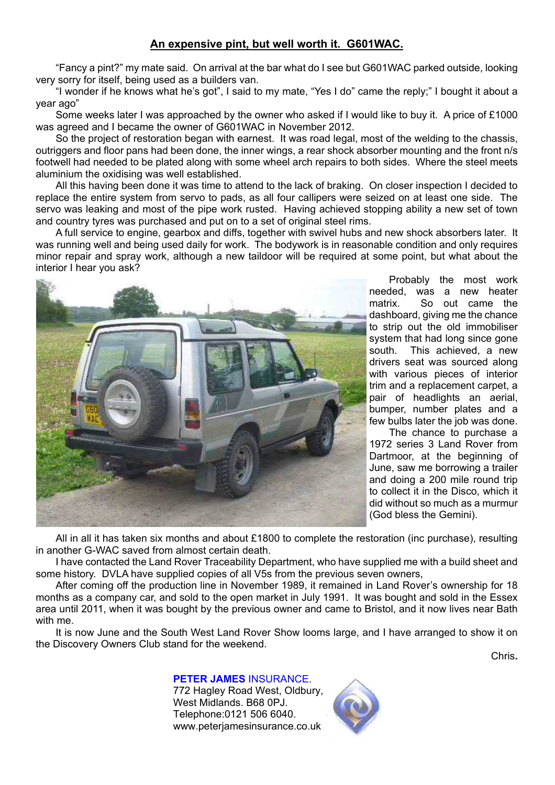# **An expensive pint, but well worth it. G601WAC.**

"Fancy a pint?" my mate said. On arrival at the bar what do I see but G601WAC parked outside, looking very sorry for itself, being used as a builders van.

"I wonder if he knows what he's got", I said to my mate, "Yes I do" came the reply;" I bought it about a year ago"

Some weeks later I was approached by the owner who asked if I would like to buy it. A price of £1000 was agreed and I became the owner of G601WAC in November 2012.

So the project of restoration began with earnest. It was road legal, most of the welding to the chassis, outriggers and floor pans had been done, the inner wings, a rear shock absorber mounting and the front n/s footwell had needed to be plated along with some wheel arch repairs to both sides. Where the steel meets aluminium the oxidising was well established.

All this having been done it was time to attend to the lack of braking. On closer inspection I decided to replace the entire system from servo to pads, as all four callipers were seized on at least one side. The servo was leaking and most of the pipe work rusted. Having achieved stopping ability a new set of town and country tyres was purchased and put on to a set of original steel rims.

A full service to engine, gearbox and diffs, together with swivel hubs and new shock absorbers later. It was running well and being used daily for work. The bodywork is in reasonable condition and only requires minor repair and spray work, although a new taildoor will be required at some point, but what about the interior I hear you ask?



Probably the most work needed, was a new heater matrix. So out came the dashboard, giving me the chance to strip out the old immobiliser system that had long since gone south. This achieved, a new drivers seat was sourced along with various pieces of interior trim and a replacement carpet, a pair of headlights an aerial, bumper, number plates and a few bulbs later the job was done.

The chance to purchase a 1972 series 3 Land Rover from Dartmoor, at the beginning of June, saw me borrowing a trailer and doing a 200 mile round trip to collect it in the Disco, which it did without so much as a murmur (God bless the Gemini).

All in all it has taken six months and about £1800 to complete the restoration (inc purchase), resulting in another G-WAC saved from almost certain death.

I have contacted the Land Rover Traceability Department, who have supplied me with a build sheet and some history. DVLA have supplied copies of all V5s from the previous seven owners,

After coming off the production line in November 1989, it remained in Land Rover's ownership for 18 months as a company car, and sold to the open market in July 1991. It was bought and sold in the Essex area until 2011, when it was bought by the previous owner and came to Bristol, and it now lives near Bath with me.

It is now June and the South West Land Rover Show looms large, and I have arranged to show it on the Discovery Owners Club stand for the weekend.

Chris**.**

### **PETER JAMES** INSURANCE.

772 Hagley Road West, Oldbury, West Midlands. B68 0PJ. Telephone:0121 506 6040. www.peterjamesinsurance.co.uk

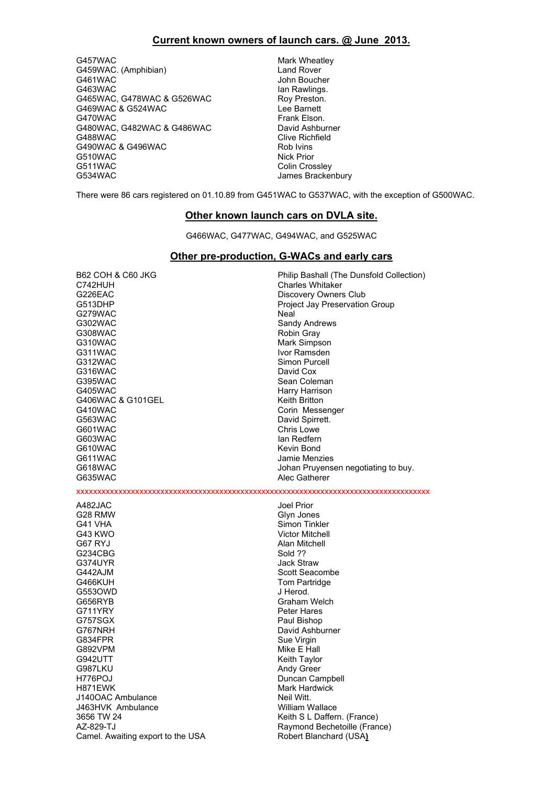### **Current known owners of launch cars. @ June 2013.**

G457WAC Mark Wheatley G459WAC. (Amphibian) Canad Rover G461WAC John Boucher<br>G463WAC John Boucher<br>Jan Rawlings. G465WAC, G478WAC & G526WAC Roy Preston.<br>C469WAC & G524WAC ROY ROY Roy Preston. G469WAC & G524WAC G470WAC Frank Elson. G480WAC, G482WAC & G486WAC David Ashburner<br>G488WAC Clive Richfield G490WAC & G496WAC G510WAC Nick Prior G511WAC Colin Crossley<br>G534WAC Colin Crossley<br>James Bracker

Ian Rawlings. Clive Richfield<br>Rob Ivins James Brackenbury

There were 86 cars registered on 01.10.89 from G451WAC to G537WAC, with the exception of G500WAC.

### **Other known launch cars on DVLA site.**

G466WAC, G477WAC, G494WAC, and G525WAC

#### **Other pre-production, G-WACs and early cars**

C742HUH Charles Whitaker<br>G226EAC CHARLES CONDENSITY COMPANY COMPANY G226EAC Discovery Owners Club<br>G513DHP CONTECT DESCRIPTION DESCRIPTION OF PROJECT LAW PRESERVATION G279WAC Neal<br>G302WAC Sand Sand G302WAC Sandy Andrews<br>G308WAC SAND SAND Robin Gray G308WAC Robin Gray<br>G310WAC ROBIN G310WAC Mark Simps G311WAC Ivor Ramsden G316WAC G395WAC Sean Coleman G405WAC Harry Harrison G406WAC & G101GEL Keith Britton G410WAC Corin Messenger<br>
G563WAC Corin Messenger<br>
Corin Messenger G563WAC David Spirrett.<br>G601WAC Chris Lowe G603WAC Ian Redfern G611WAC Jamie Menzies G618WAC **G618WAC** Johan Pruyensen negotiating to buy. G635WAC Alec Gatherer A482JAC Joel Prior G28 RMW Glyn Jones G43 KWO Victor Mitchell G67 RYJ Alan Mitchell<br>G234CBG Alan Mitchell G234CBG G374UYR Jack Straw G442AJM Scott Seacombe G466KUH Tom Partridge G553OWD JHerod. G656RYB Graham Welch G711YRY Peter Hares G757SGX Paul Bishop G767NRH David Ashburner G834FPR<br>G892VPM Sue Virgin Sue Virgin<br>Mike F Hal G942UTT Keith Taylor G987LKU Andy Greer H776POJ Duncan Campbell<br>H871EWK Hardwick Duncan Campbell J140OAC Ambulance Neil Witt. J463HVK Ambulance William Wallace 3656 TW 24 Keith S L Daffern. (France) AZ-829-TJ Raymond Bechetoille (France) Camel. Awaiting export to the USA Robert Blanchard (USA)

B62 COH & C60 JKG Philip Bashall (The Dunsfold Collection) Project Jay Preservation Group Mark Simpson Simon Purcell<br>David Cox Chris Lowe Kevin Bond

xxxxxxxxxxxxxxxxxxxxxxxxxxxxxxxxxxxxxxxxxxxxxxxxxxxxxxxxxxxxxxxxxxxxxxxxxxxxxxxxxxxx

Simon Tinkler Mike E Hall Mark Hardwick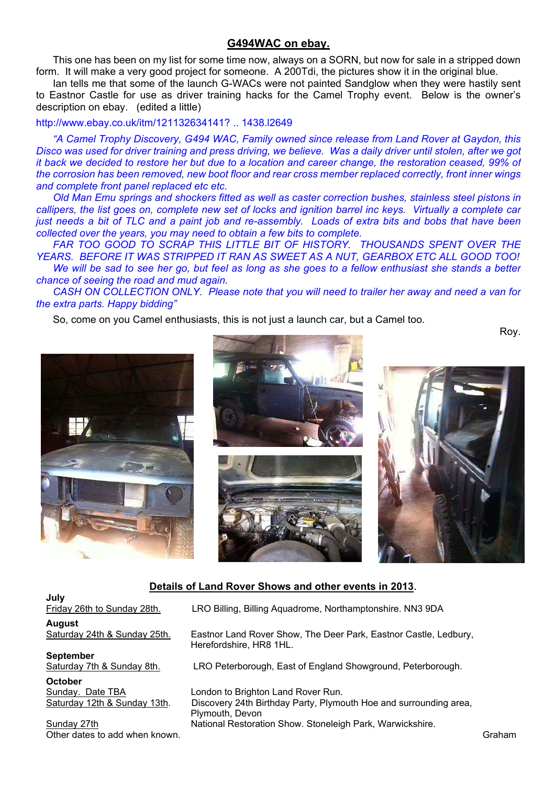### **G494WAC on ebay.**

This one has been on my list for some time now, always on a SORN, but now for sale in a stripped down form. It will make a very good project for someone. A 200Tdi, the pictures show it in the original blue.

Ian tells me that some of the launch G-WACs were not painted Sandglow when they were hastily sent to Eastnor Castle for use as driver training hacks for the Camel Trophy event. Below is the owner's description on ebay. (edited a little)

### http://www.ebay.co.uk/itm/121132634141? .. 1438.l2649

*"A Camel Trophy Discovery, G494 WAC, Family owned since release from Land Rover at Gaydon, this Disco was used for driver training and press driving, we believe. Was a daily driver until stolen, after we got it back we decided to restore her but due to a location and career change, the restoration ceased, 99% of the corrosion has been removed, new boot floor and rear cross member replaced correctly, front inner wings and complete front panel replaced etc etc.*

*Old Man Emu springs and shockers fitted as well as caster correction bushes, stainless steel pistons in callipers, the list goes on, complete new set of locks and ignition barrel inc keys. Virtually a complete car just needs a bit of TLC and a paint job and re-assembly. Loads of extra bits and bobs that have been collected over the years, you may need to obtain a few bits to complete.*

*FAR TOO GOOD TO SCRAP THIS LITTLE BIT OF HISTORY. THOUSANDS SPENT OVER THE YEARS. BEFORE IT WAS STRIPPED IT RAN AS SWEET AS A NUT, GEARBOX ETC ALL GOOD TOO! We will be sad to see her go, but feel as long as she goes to a fellow enthusiast she stands a better chance of seeing the road and mud again.*

*CASH ON COLLECTION ONLY. Please note that you will need to trailer her away and need a van for the extra parts. Happy bidding"*

So, come on you Camel enthusiasts, this is not just a launch car, but a Camel too.

Roy.







## **Details of Land Rover Shows and other events in 2013**.

**July**  Friday 26th to Sunday 28th. LRO Billing, Billing Aquadrome, Northamptonshire. NN3 9DA **August**  Saturday 24th & Sunday 25th. Eastnor Land Rover Show, The Deer Park, Eastnor Castle, Ledbury, Herefordshire, HR8 1HL. **September**<br>Saturday 7th & Sunday 8th. LRO Peterborough, East of England Showground, Peterborough. **October**  Sunday. Date TBA London to Brighton Land Rover Run. Saturday 12th & Sunday 13th. Discovery 24th Birthday Party, Plymouth Hoe and surrounding area, Plymouth, Devon Sunday 27th **National Restoration Show. Stoneleigh Park, Warwickshire.** Sunday 27th Other dates to add when known. Graham control with the control of the control of the control of the control of the control of the control of the control of the control of the control of the control of the control of the co